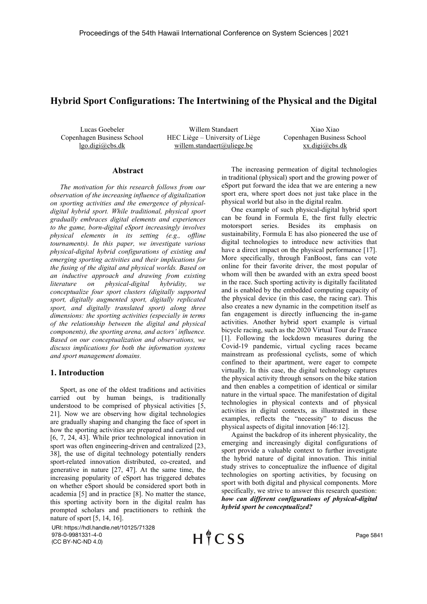# Hybrid Sport Configurations: The Intertwining of the Physical and the Digital

Lucas Goebeler Copenhagen Business School lgo.digi@cbs.dk

Willem Standaert HEC Liège – University of Liège willem.standaert@uliege.be

Xiao Xiao Copenhagen Business School xx.digi@cbs.dk

## Abstract

The motivation for this research follows from our observation of the increasing influence of digitalization on sporting activities and the emergence of physicaldigital hybrid sport. While traditional, physical sport gradually embraces digital elements and experiences to the game, born-digital eSport increasingly involves physical elements in its setting (e.g., offline tournaments). In this paper, we investigate various physical-digital hybrid configurations of existing and emerging sporting activities and their implications for the fusing of the digital and physical worlds. Based on an inductive approach and drawing from existing literature on physical-digital hybridity, we conceptualize four sport clusters (digitally supported sport, digitally augmented sport, digitally replicated sport, and digitally translated sport) along three dimensions: the sporting activities (especially in terms of the relationship between the digital and physical components), the sporting arena, and actors' influence. Based on our conceptualization and observations, we discuss implications for both the information systems and sport management domains.

## 1. Introduction

Sport, as one of the oldest traditions and activities carried out by human beings, is traditionally understood to be comprised of physical activities [5, 21]. Now we are observing how digital technologies are gradually shaping and changing the face of sport in how the sporting activities are prepared and carried out [6, 7, 24, 43]. While prior technological innovation in sport was often engineering-driven and centralized [23, 38], the use of digital technology potentially renders sport-related innovation distributed, co-created, and generative in nature [27, 47]. At the same time, the increasing popularity of eSport has triggered debates on whether eSport should be considered sport both in academia [5] and in practice [8]. No matter the stance, this sporting activity born in the digital realm has prompted scholars and practitioners to rethink the nature of sport [5, 14, 16].

URI: https://hdl.handle.net/10125/71328 978-0-9981331-4-0 (CC BY-NC-ND 4.0)

The increasing permeation of digital technologies in traditional (physical) sport and the growing power of eSport put forward the idea that we are entering a new sport era, where sport does not just take place in the physical world but also in the digital realm.

One example of such physical-digital hybrid sport can be found in Formula E, the first fully electric motorsport series. Besides its emphasis on sustainability, Formula E has also pioneered the use of digital technologies to introduce new activities that have a direct impact on the physical performance [17]. More specifically, through FanBoost, fans can vote online for their favorite driver, the most popular of whom will then be awarded with an extra speed boost in the race. Such sporting activity is digitally facilitated and is enabled by the embedded computing capacity of the physical device (in this case, the racing car). This also creates a new dynamic in the competition itself as fan engagement is directly influencing the in-game activities. Another hybrid sport example is virtual bicycle racing, such as the 2020 Virtual Tour de France [1]. Following the lockdown measures during the Covid-19 pandemic, virtual cycling races became mainstream as professional cyclists, some of which confined to their apartment, were eager to compete virtually. In this case, the digital technology captures the physical activity through sensors on the bike station and then enables a competition of identical or similar nature in the virtual space. The manifestation of digital technologies in physical contexts and of physical activities in digital contexts, as illustrated in these examples, reflects the "necessity" to discuss the physical aspects of digital innovation [46:12].

Against the backdrop of its inherent physicality, the emerging and increasingly digital configurations of sport provide a valuable context to further investigate the hybrid nature of digital innovation. This initial study strives to conceptualize the influence of digital technologies on sporting activities, by focusing on sport with both digital and physical components. More specifically, we strive to answer this research question: how can different configurations of physical-digital hybrid sport be conceptualized?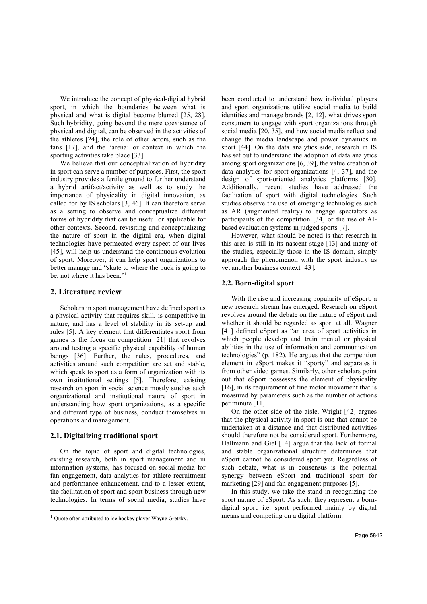We introduce the concept of physical-digital hybrid sport, in which the boundaries between what is physical and what is digital become blurred [25, 28]. Such hybridity, going beyond the mere coexistence of physical and digital, can be observed in the activities of the athletes [24], the role of other actors, such as the fans [17], and the 'arena' or context in which the sporting activities take place [33].

We believe that our conceptualization of hybridity in sport can serve a number of purposes. First, the sport industry provides a fertile ground to further understand a hybrid artifact/activity as well as to study the importance of physicality in digital innovation, as called for by IS scholars [3, 46]. It can therefore serve as a setting to observe and conceptualize different forms of hybridity that can be useful or applicable for other contexts. Second, revisiting and conceptualizing the nature of sport in the digital era, when digital technologies have permeated every aspect of our lives [45], will help us understand the continuous evolution of sport. Moreover, it can help sport organizations to better manage and "skate to where the puck is going to be, not where it has been."<sup>1</sup>

#### 2. Literature review

Scholars in sport management have defined sport as a physical activity that requires skill, is competitive in nature, and has a level of stability in its set-up and rules [5]. A key element that differentiates sport from games is the focus on competition [21] that revolves around testing a specific physical capability of human beings [36]. Further, the rules, procedures, and activities around such competition are set and stable, which speak to sport as a form of organization with its own institutional settings [5]. Therefore, existing research on sport in social science mostly studies such organizational and institutional nature of sport in understanding how sport organizations, as a specific and different type of business, conduct themselves in operations and management.

#### 2.1. Digitalizing traditional sport

On the topic of sport and digital technologies, existing research, both in sport management and in information systems, has focused on social media for fan engagement, data analytics for athlete recruitment and performance enhancement, and to a lesser extent, the facilitation of sport and sport business through new technologies. In terms of social media, studies have

been conducted to understand how individual players and sport organizations utilize social media to build identities and manage brands [2, 12], what drives sport consumers to engage with sport organizations through social media [20, 35], and how social media reflect and change the media landscape and power dynamics in sport [44]. On the data analytics side, research in IS has set out to understand the adoption of data analytics among sport organizations [6, 39], the value creation of data analytics for sport organizations [4, 37], and the design of sport-oriented analytics platforms [30]. Additionally, recent studies have addressed the facilitation of sport with digital technologies. Such studies observe the use of emerging technologies such as AR (augmented reality) to engage spectators as participants of the competition [34] or the use of AIbased evaluation systems in judged sports [7].

However, what should be noted is that research in this area is still in its nascent stage [13] and many of the studies, especially those in the IS domain, simply approach the phenomenon with the sport industry as yet another business context [43].

#### 2.2. Born-digital sport

With the rise and increasing popularity of eSport, a new research stream has emerged. Research on eSport revolves around the debate on the nature of eSport and whether it should be regarded as sport at all. Wagner [41] defined eSport as "an area of sport activities in which people develop and train mental or physical abilities in the use of information and communication technologies" (p. 182). He argues that the competition element in eSport makes it "sporty" and separates it from other video games. Similarly, other scholars point out that eSport possesses the element of physicality [16], in its requirement of fine motor movement that is measured by parameters such as the number of actions per minute [11].

On the other side of the aisle, Wright [42] argues that the physical activity in sport is one that cannot be undertaken at a distance and that distributed activities should therefore not be considered sport. Furthermore, Hallmann and Giel [14] argue that the lack of formal and stable organizational structure determines that eSport cannot be considered sport yet. Regardless of such debate, what is in consensus is the potential synergy between eSport and traditional sport for marketing [29] and fan engagement purposes [5].

In this study, we take the stand in recognizing the sport nature of eSport. As such, they represent a borndigital sport, i.e. sport performed mainly by digital means and competing on a digital platform.

<sup>1</sup> Quote often attributed to ice hockey player Wayne Gretzky.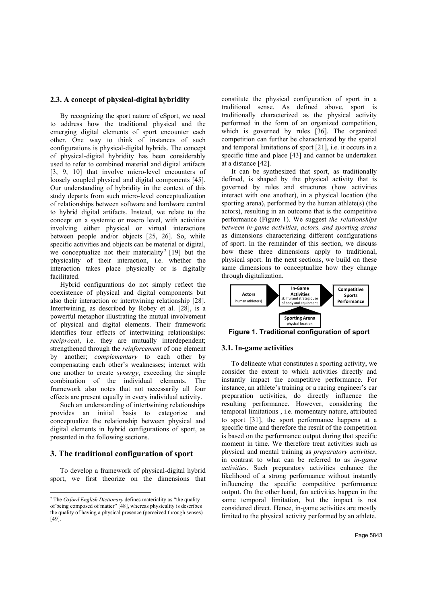## 2.3. A concept of physical-digital hybridity

By recognizing the sport nature of eSport, we need to address how the traditional physical and the emerging digital elements of sport encounter each other. One way to think of instances of such configurations is physical-digital hybrids. The concept of physical-digital hybridity has been considerably used to refer to combined material and digital artifacts [3, 9, 10] that involve micro-level encounters of loosely coupled physical and digital components [45]. Our understanding of hybridity in the context of this study departs from such micro-level conceptualization of relationships between software and hardware central to hybrid digital artifacts. Instead, we relate to the concept on a systemic or macro level, with activities involving either physical or virtual interactions between people and/or objects [25, 26]. So, while specific activities and objects can be material or digital, we conceptualize not their materiality<sup>2</sup> [19] but the physicality of their interaction, i.e. whether the interaction takes place physically or is digitally facilitated.

Hybrid configurations do not simply reflect the coexistence of physical and digital components but also their interaction or intertwining relationship [28]. Intertwining, as described by Robey et al. [28], is a powerful metaphor illustrating the mutual involvement of physical and digital elements. Their framework identifies four effects of intertwining relationships: reciprocal, i.e. they are mutually interdependent; strengthened through the reinforcement of one element by another; complementary to each other by compensating each other's weaknesses; interact with one another to create synergy, exceeding the simple combination of the individual elements. The framework also notes that not necessarily all four effects are present equally in every individual activity.

Such an understanding of intertwining relationships provides an initial basis to categorize and conceptualize the relationship between physical and digital elements in hybrid configurations of sport, as presented in the following sections.

#### 3. The traditional configuration of sport

To develop a framework of physical-digital hybrid sport, we first theorize on the dimensions that constitute the physical configuration of sport in a traditional sense. As defined above, sport is traditionally characterized as the physical activity performed in the form of an organized competition, which is governed by rules [36]. The organized competition can further be characterized by the spatial and temporal limitations of sport [21], i.e. it occurs in a specific time and place [43] and cannot be undertaken at a distance [42].

It can be synthesized that sport, as traditionally defined, is shaped by the physical activity that is governed by rules and structures (how activities interact with one another), in a physical location (the sporting arena), performed by the human athlete(s) (the actors), resulting in an outcome that is the competitive performance (Figure 1). We suggest the relationships between in-game activities, actors, and sporting arena as dimensions characterizing different configurations of sport. In the remainder of this section, we discuss how these three dimensions apply to traditional, physical sport. In the next sections, we build on these same dimensions to conceptualize how they change through digitalization.



Figure 1. Traditional configuration of sport

#### 3.1. In-game activities

To delineate what constitutes a sporting activity, we consider the extent to which activities directly and instantly impact the competitive performance. For instance, an athlete's training or a racing engineer's car preparation activities, do directly influence the resulting performance. However, considering the temporal limitations , i.e. momentary nature, attributed to sport [31], the sport performance happens at a specific time and therefore the result of the competition is based on the performance output during that specific moment in time. We therefore treat activities such as physical and mental training as preparatory activities, in contrast to what can be referred to as in-game activities. Such preparatory activities enhance the likelihood of a strong performance without instantly influencing the specific competitive performance output. On the other hand, fan activities happen in the same temporal limitation, but the impact is not considered direct. Hence, in-game activities are mostly limited to the physical activity performed by an athlete.

<sup>&</sup>lt;sup>2</sup> The *Oxford English Dictionary* defines materiality as "the quality" of being composed of matter" [48], whereas physicality is describes the quality of having a physical presence (perceived through senses) [49].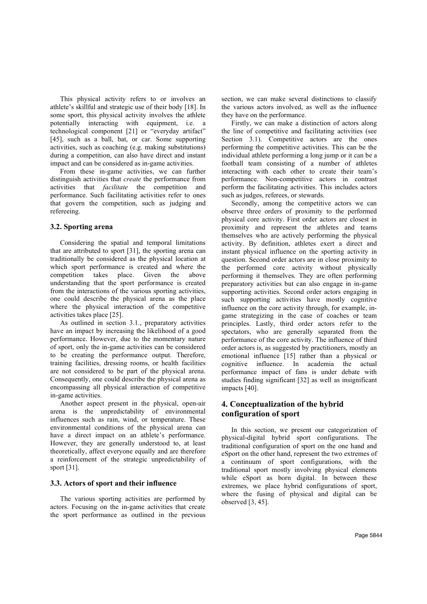This physical activity refers to or involves an athlete's skillful and strategic use of their body [18]. In some sport, this physical activity involves the athlete potentially interacting with equipment, i.e. a technological component [21] or "everyday artifact" [45], such as a ball, bat, or car. Some supporting activities, such as coaching (e.g. making substitutions) during a competition, can also have direct and instant impact and can be considered as in-game activities.

From these in-game activities, we can further distinguish activities that *create* the performance from activities that facilitate the competition and performance. Such facilitating activities refer to ones that govern the competition, such as judging and refereeing.

#### 3.2. Sporting arena

Considering the spatial and temporal limitations that are attributed to sport [31], the sporting arena can traditionally be considered as the physical location at which sport performance is created and where the competition takes place. Given the above understanding that the sport performance is created from the interactions of the various sporting activities, one could describe the physical arena as the place where the physical interaction of the competitive activities takes place [25].

As outlined in section 3.1., preparatory activities have an impact by increasing the likelihood of a good performance. However, due to the momentary nature of sport, only the in-game activities can be considered to be creating the performance output. Therefore, training facilities, dressing rooms, or health facilities are not considered to be part of the physical arena. Consequently, one could describe the physical arena as encompassing all physical interaction of competitive in-game activities.

Another aspect present in the physical, open-air arena is the unpredictability of environmental influences such as rain, wind, or temperature. These environmental conditions of the physical arena can have a direct impact on an athlete's performance. However, they are generally understood to, at least theoretically, affect everyone equally and are therefore a reinforcement of the strategic unpredictability of sport [31].

## 3.3. Actors of sport and their influence

The various sporting activities are performed by actors. Focusing on the in-game activities that create the sport performance as outlined in the previous section, we can make several distinctions to classify the various actors involved, as well as the influence they have on the performance.

Firstly, we can make a distinction of actors along the line of competitive and facilitating activities (see Section 3.1). Competitive actors are the ones performing the competitive activities. This can be the individual athlete performing a long jump or it can be a football team consisting of a number of athletes interacting with each other to create their team's performance. Non-competitive actors in contrast perform the facilitating activities. This includes actors such as judges, referees, or stewards.

Secondly, among the competitive actors we can observe three orders of proximity to the performed physical core activity. First order actors are closest in proximity and represent the athletes and teams themselves who are actively performing the physical activity. By definition, athletes exert a direct and instant physical influence on the sporting activity in question. Second order actors are in close proximity to the performed core activity without physically performing it themselves. They are often performing preparatory activities but can also engage in in-game supporting activities. Second order actors engaging in such supporting activities have mostly cognitive influence on the core activity through, for example, ingame strategizing in the case of coaches or team principles. Lastly, third order actors refer to the spectators, who are generally separated from the performance of the core activity. The influence of third order actors is, as suggested by practitioners, mostly an emotional influence [15] rather than a physical or cognitive influence. In academia the actual performance impact of fans is under debate with studies finding significant [32] as well as insignificant impacts [40].

# 4. Conceptualization of the hybrid configuration of sport

In this section, we present our categorization of physical-digital hybrid sport configurations. The traditional configuration of sport on the one hand and eSport on the other hand, represent the two extremes of a continuum of sport configurations, with the traditional sport mostly involving physical elements while eSport as born digital. In between these extremes, we place hybrid configurations of sport, where the fusing of physical and digital can be observed [3, 45].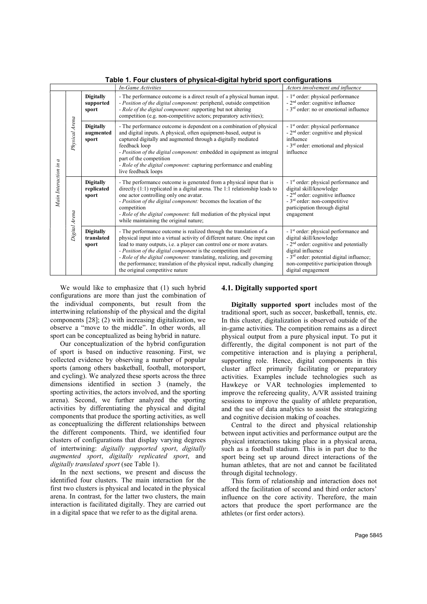| rable 1.1 our clusters or privsical-uightar hybrid sport comigurations |                |                                         |                                                                                                                                                                                                                                                                                                                                                                                                                                                                                 |                                                                                                                                                                                                                                                           |
|------------------------------------------------------------------------|----------------|-----------------------------------------|---------------------------------------------------------------------------------------------------------------------------------------------------------------------------------------------------------------------------------------------------------------------------------------------------------------------------------------------------------------------------------------------------------------------------------------------------------------------------------|-----------------------------------------------------------------------------------------------------------------------------------------------------------------------------------------------------------------------------------------------------------|
|                                                                        |                |                                         | In-Game Activities                                                                                                                                                                                                                                                                                                                                                                                                                                                              | Actors involvement and influence                                                                                                                                                                                                                          |
| Main Interaction in a                                                  | Physical Arena | <b>Digitally</b><br>supported<br>sport  | - The performance outcome is a direct result of a physical human input.<br>- Position of the digital component: peripheral, outside competition<br>- Role of the digital component: supporting but not altering<br>competition (e.g. non-competitive actors; preparatory activities);                                                                                                                                                                                           | - 1 <sup>st</sup> order: physical performance<br>$-2nd$ order: cognitive influence<br>- 3 <sup>rd</sup> order: no or emotional influence                                                                                                                  |
|                                                                        |                | <b>Digitally</b><br>augmented<br>sport  | - The performance outcome is dependent on a combination of physical<br>and digital inputs. A physical, often equipment-based, output is<br>captured digitally and augmented through a digitally mediated<br>feedback loop<br>- Position of the digital component: embedded in equipment as integral<br>part of the competition<br>- Role of the digital component: capturing performance and enabling<br>live feedback loops                                                    | - 1 <sup>st</sup> order: physical performance<br>$-2nd$ order: cognitive and physical<br>influence<br>- 3 <sup>rd</sup> order: emotional and physical<br>influence                                                                                        |
|                                                                        | Digital Arena  | <b>Digitally</b><br>replicated<br>sport | - The performance outcome is generated from a physical input that is<br>directly $(1:1)$ replicated in a digital arena. The 1:1 relationship leads to<br>one actor controlling only one avatar.<br>- Position of the digital component: becomes the location of the<br>competition<br>- Role of the digital component: full mediation of the physical input<br>while maintaining the original nature;                                                                           | - 1 <sup>st</sup> order: physical performance and<br>digital skill/knowledge<br>- 2 <sup>nd</sup> order: cognitive influence<br>- 3 <sup>rd</sup> order: non-competitive<br>participation through digital<br>engagement                                   |
|                                                                        |                | <b>Digitally</b><br>translated<br>sport | - The performance outcome is realized through the translation of a<br>physical input into a virtual activity of different nature. One input can<br>lead to many outputs, i.e. a player can control one or more avatars.<br>- Position of the digital component is the competition itself<br>- Role of the digital component: translating, realizing, and governing<br>the performance; translation of the physical input, radically changing<br>the original competitive nature | - 1 <sup>st</sup> order: physical performance and<br>digital skill/knowledge<br>$-2nd$ order: cognitive and potentially<br>digital influence<br>$-3rd$ order: potential digital influence;<br>non-competitive participation through<br>digital engagement |

Table 1. Four clusters of physical-digital hybrid sport configurations

We would like to emphasize that (1) such hybrid configurations are more than just the combination of the individual components, but result from the intertwining relationship of the physical and the digital components [28]; (2) with increasing digitalization, we observe a "move to the middle". In other words, all sport can be conceptualized as being hybrid in nature.

Our conceptualization of the hybrid configuration of sport is based on inductive reasoning. First, we collected evidence by observing a number of popular sports (among others basketball, football, motorsport, and cycling). We analyzed these sports across the three dimensions identified in section 3 (namely, the sporting activities, the actors involved, and the sporting arena). Second, we further analyzed the sporting activities by differentiating the physical and digital components that produce the sporting activities, as well as conceptualizing the different relationships between the different components. Third, we identified four clusters of configurations that display varying degrees of intertwining: digitally supported sport, digitally augmented sport, digitally replicated sport, and digitally translated sport (see Table 1).

In the next sections, we present and discuss the identified four clusters. The main interaction for the first two clusters is physical and located in the physical arena. In contrast, for the latter two clusters, the main interaction is facilitated digitally. They are carried out in a digital space that we refer to as the digital arena.

## 4.1. Digitally supported sport

Digitally supported sport includes most of the traditional sport, such as soccer, basketball, tennis, etc. In this cluster, digitalization is observed outside of the in-game activities. The competition remains as a direct physical output from a pure physical input. To put it differently, the digital component is not part of the competitive interaction and is playing a peripheral, supporting role. Hence, digital components in this cluster affect primarily facilitating or preparatory activities. Examples include technologies such as Hawkeye or VAR technologies implemented to improve the refereeing quality, A/VR assisted training sessions to improve the quality of athlete preparation, and the use of data analytics to assist the strategizing and cognitive decision making of coaches.

Central to the direct and physical relationship between input activities and performance output are the physical interactions taking place in a physical arena, such as a football stadium. This is in part due to the sport being set up around direct interactions of the human athletes, that are not and cannot be facilitated through digital technology.

This form of relationship and interaction does not afford the facilitation of second and third order actors' influence on the core activity. Therefore, the main actors that produce the sport performance are the athletes (or first order actors).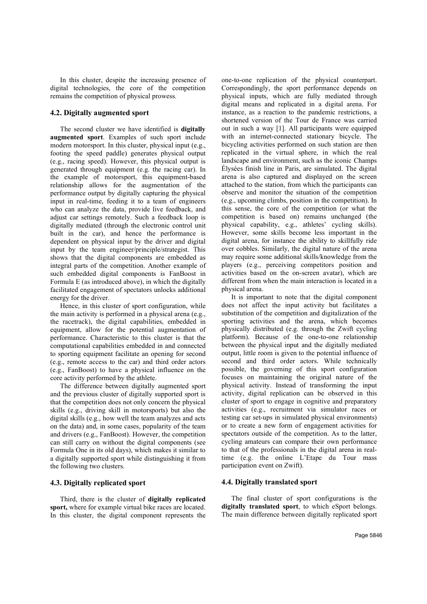In this cluster, despite the increasing presence of digital technologies, the core of the competition remains the competition of physical prowess.

#### 4.2. Digitally augmented sport

The second cluster we have identified is **digitally** augmented sport. Examples of such sport include modern motorsport. In this cluster, physical input (e.g., footing the speed paddle) generates physical output (e.g., racing speed). However, this physical output is generated through equipment (e.g. the racing car). In the example of motorsport, this equipment-based relationship allows for the augmentation of the performance output by digitally capturing the physical input in real-time, feeding it to a team of engineers who can analyze the data, provide live feedback, and adjust car settings remotely. Such a feedback loop is digitally mediated (through the electronic control unit built in the car), and hence the performance is dependent on physical input by the driver and digital input by the team engineer/principle/strategist. This shows that the digital components are embedded as integral parts of the competition. Another example of such embedded digital components is FanBoost in Formula E (as introduced above), in which the digitally facilitated engagement of spectators unlocks additional energy for the driver.

Hence, in this cluster of sport configuration, while the main activity is performed in a physical arena (e.g., the racetrack), the digital capabilities, embedded in equipment, allow for the potential augmentation of performance. Characteristic to this cluster is that the computational capabilities embedded in and connected to sporting equipment facilitate an opening for second (e.g., remote access to the car) and third order actors (e.g., FanBoost) to have a physical influence on the core activity performed by the athlete.

The difference between digitally augmented sport and the previous cluster of digitally supported sport is that the competition does not only concern the physical skills (e.g., driving skill in motorsports) but also the digital skills (e.g., how well the team analyzes and acts on the data) and, in some cases, popularity of the team and drivers (e.g., FanBoost). However, the competition can still carry on without the digital components (see Formula One in its old days), which makes it similar to a digitally supported sport while distinguishing it from the following two clusters.

## 4.3. Digitally replicated sport

Third, there is the cluster of digitally replicated sport, where for example virtual bike races are located. In this cluster, the digital component represents the one-to-one replication of the physical counterpart. Correspondingly, the sport performance depends on physical inputs, which are fully mediated through digital means and replicated in a digital arena. For instance, as a reaction to the pandemic restrictions, a shortened version of the Tour de France was carried out in such a way [1]. All participants were equipped with an internet-connected stationary bicycle. The bicycling activities performed on such station are then replicated in the virtual sphere, in which the real landscape and environment, such as the iconic Champs Élysées finish line in Paris, are simulated. The digital arena is also captured and displayed on the screen attached to the station, from which the participants can observe and monitor the situation of the competition (e.g., upcoming climbs, position in the competition). In this sense, the core of the competition (or what the competition is based on) remains unchanged (the physical capability, e.g., athletes' cycling skills). However, some skills become less important in the digital arena, for instance the ability to skillfully ride over cobbles. Similarly, the digital nature of the arena may require some additional skills/knowledge from the players (e.g., perceiving competitors position and activities based on the on-screen avatar), which are different from when the main interaction is located in a physical arena.

It is important to note that the digital component does not affect the input activity but facilitates a substitution of the competition and digitalization of the sporting activities and the arena, which becomes physically distributed (e.g. through the Zwift cycling platform). Because of the one-to-one relationship between the physical input and the digitally mediated output, little room is given to the potential influence of second and third order actors. While technically possible, the governing of this sport configuration focuses on maintaining the original nature of the physical activity. Instead of transforming the input activity, digital replication can be observed in this cluster of sport to engage in cognitive and preparatory activities (e.g., recruitment via simulator races or testing car set-ups in simulated physical environments) or to create a new form of engagement activities for spectators outside of the competition. As to the latter, cycling amateurs can compare their own performance to that of the professionals in the digital arena in realtime (e.g. the online L'Etape du Tour mass participation event on Zwift).

#### 4.4. Digitally translated sport

The final cluster of sport configurations is the digitally translated sport, to which eSport belongs. The main difference between digitally replicated sport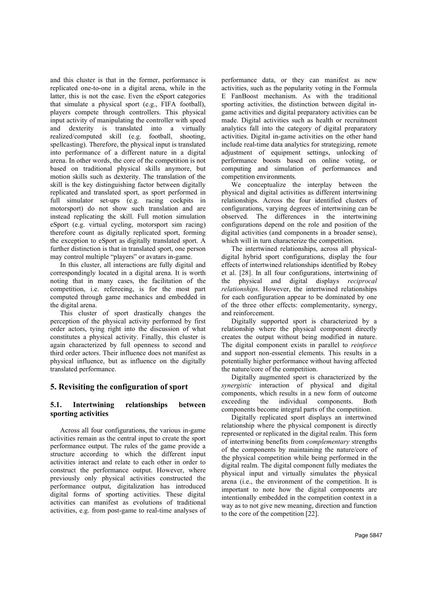and this cluster is that in the former, performance is replicated one-to-one in a digital arena, while in the latter, this is not the case. Even the eSport categories that simulate a physical sport (e.g., FIFA football), players compete through controllers. This physical input activity of manipulating the controller with speed and dexterity is translated into a virtually realized/computed skill (e.g. football, shooting, spellcasting). Therefore, the physical input is translated into performance of a different nature in a digital arena. In other words, the core of the competition is not based on traditional physical skills anymore, but motion skills such as dexterity. The translation of the skill is the key distinguishing factor between digitally replicated and translated sport, as sport performed in full simulator set-ups (e.g. racing cockpits in motorsport) do not show such translation and are instead replicating the skill. Full motion simulation eSport (e.g. virtual cycling, motorsport sim racing) therefore count as digitally replicated sport, forming the exception to eSport as digitally translated sport. A further distinction is that in translated sport, one person may control multiple "players" or avatars in-game.

In this cluster, all interactions are fully digital and correspondingly located in a digital arena. It is worth noting that in many cases, the facilitation of the competition, i.e. refereeing, is for the most part computed through game mechanics and embedded in the digital arena.

This cluster of sport drastically changes the perception of the physical activity performed by first order actors, tying right into the discussion of what constitutes a physical activity. Finally, this cluster is again characterized by full openness to second and third order actors. Their influence does not manifest as physical influence, but as influence on the digitally translated performance.

# 5. Revisiting the configuration of sport

## 5.1. Intertwining relationships between sporting activities

Across all four configurations, the various in-game activities remain as the central input to create the sport performance output. The rules of the game provide a structure according to which the different input activities interact and relate to each other in order to construct the performance output. However, where previously only physical activities constructed the performance output, digitalization has introduced digital forms of sporting activities. These digital activities can manifest as evolutions of traditional activities, e.g. from post-game to real-time analyses of performance data, or they can manifest as new activities, such as the popularity voting in the Formula E FanBoost mechanism. As with the traditional sporting activities, the distinction between digital ingame activities and digital preparatory activities can be made. Digital activities such as health or recruitment analytics fall into the category of digital preparatory activities. Digital in-game activities on the other hand include real-time data analytics for strategizing, remote adjustment of equipment settings, unlocking of performance boosts based on online voting, or computing and simulation of performances and competition environments.

We conceptualize the interplay between the physical and digital activities as different intertwining relationships. Across the four identified clusters of configurations, varying degrees of intertwining can be observed. The differences in the intertwining configurations depend on the role and position of the digital activities (and components in a broader sense), which will in turn characterize the competition.

The intertwined relationships, across all physicaldigital hybrid sport configurations, display the four effects of intertwined relationships identified by Robey et al. [28]. In all four configurations, intertwining of the physical and digital displays reciprocal relationships. However, the intertwined relationships for each configuration appear to be dominated by one of the three other effects: complementarity, synergy, and reinforcement.

Digitally supported sport is characterized by a relationship where the physical component directly creates the output without being modified in nature. The digital component exists in parallel to *reinforce* and support non-essential elements. This results in a potentially higher performance without having affected the nature/core of the competition.

Digitally augmented sport is characterized by the synergistic interaction of physical and digital components, which results in a new form of outcome exceeding the individual components. Both components become integral parts of the competition.

Digitally replicated sport displays an intertwined relationship where the physical component is directly represented or replicated in the digital realm. This form of intertwining benefits from complementary strengths of the components by maintaining the nature/core of the physical competition while being performed in the digital realm. The digital component fully mediates the physical input and virtually simulates the physical arena (i.e., the environment of the competition. It is important to note how the digital components are intentionally embedded in the competition context in a way as to not give new meaning, direction and function to the core of the competition [22].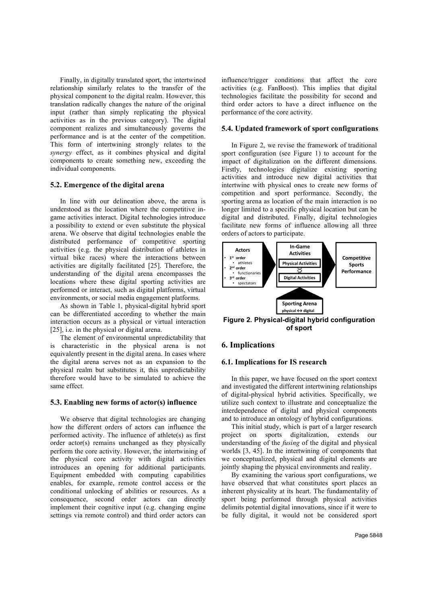Finally, in digitally translated sport, the intertwined relationship similarly relates to the transfer of the physical component to the digital realm. However, this translation radically changes the nature of the original input (rather than simply replicating the physical activities as in the previous category). The digital component realizes and simultaneously governs the performance and is at the center of the competition. This form of intertwining strongly relates to the synergy effect, as it combines physical and digital components to create something new, exceeding the individual components.

## 5.2. Emergence of the digital arena

In line with our delineation above, the arena is understood as the location where the competitive ingame activities interact. Digital technologies introduce a possibility to extend or even substitute the physical arena. We observe that digital technologies enable the distributed performance of competitive sporting activities (e.g. the physical distribution of athletes in virtual bike races) where the interactions between activities are digitally facilitated [25]. Therefore, the understanding of the digital arena encompasses the locations where these digital sporting activities are performed or interact, such as digital platforms, virtual environments, or social media engagement platforms.

As shown in Table 1, physical-digital hybrid sport can be differentiated according to whether the main interaction occurs as a physical or virtual interaction [25], i.e. in the physical or digital arena.

The element of environmental unpredictability that is characteristic in the physical arena is not equivalently present in the digital arena. In cases where the digital arena serves not as an expansion to the physical realm but substitutes it, this unpredictability therefore would have to be simulated to achieve the same effect.

#### 5.3. Enabling new forms of actor(s) influence

We observe that digital technologies are changing how the different orders of actors can influence the performed activity. The influence of athlete(s) as first order actor(s) remains unchanged as they physically perform the core activity. However, the intertwining of the physical core activity with digital activities introduces an opening for additional participants. Equipment embedded with computing capabilities enables, for example, remote control access or the conditional unlocking of abilities or resources. As a consequence, second order actors can directly implement their cognitive input (e.g. changing engine settings via remote control) and third order actors can influence/trigger conditions that affect the core activities (e.g. FanBoost). This implies that digital technologies facilitate the possibility for second and third order actors to have a direct influence on the performance of the core activity.

## 5.4. Updated framework of sport configurations

In Figure 2, we revise the framework of traditional sport configuration (see Figure 1) to account for the impact of digitalization on the different dimensions. Firstly, technologies digitalize existing sporting activities and introduce new digital activities that intertwine with physical ones to create new forms of competition and sport performance. Secondly, the sporting arena as location of the main interaction is no longer limited to a specific physical location but can be digital and distributed. Finally, digital technologies facilitate new forms of influence allowing all three orders of actors to participate.



Figure 2. Physical-digital hybrid configuration of sport

# 6. Implications

#### 6.1. Implications for IS research

In this paper, we have focused on the sport context and investigated the different intertwining relationships of digital-physical hybrid activities. Specifically, we utilize such context to illustrate and conceptualize the interdependence of digital and physical components and to introduce an ontology of hybrid configurations.

This initial study, which is part of a larger research project on sports digitalization, extends our understanding of the fusing of the digital and physical worlds [3, 45]. In the intertwining of components that we conceptualized, physical and digital elements are jointly shaping the physical environments and reality.

By examining the various sport configurations, we have observed that what constitutes sport places an inherent physicality at its heart. The fundamentality of sport being performed through physical activities delimits potential digital innovations, since if it were to be fully digital, it would not be considered sport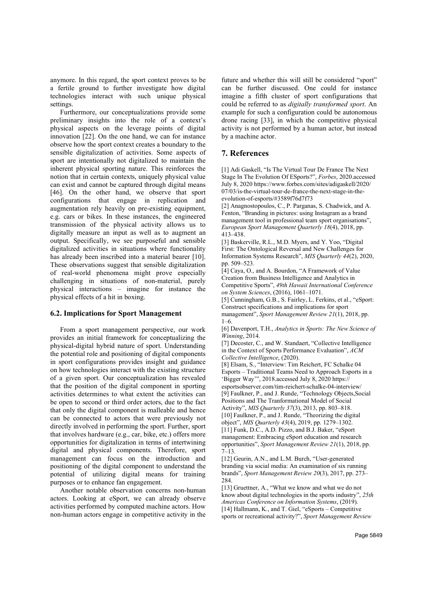anymore. In this regard, the sport context proves to be a fertile ground to further investigate how digital technologies interact with such unique physical settings.

Furthermore, our conceptualizations provide some preliminary insights into the role of a context's physical aspects on the leverage points of digital innovation [22]. On the one hand, we can for instance observe how the sport context creates a boundary to the sensible digitalization of activities. Some aspects of sport are intentionally not digitalized to maintain the inherent physical sporting nature. This reinforces the notion that in certain contexts, uniquely physical value can exist and cannot be captured through digital means [46]. On the other hand, we observe that sport configurations that engage in replication and augmentation rely heavily on pre-existing equipment, e.g. cars or bikes. In these instances, the engineered transmission of the physical activity allows us to digitally measure an input as well as to augment an output. Specifically, we see purposeful and sensible digitalized activities in situations where functionality has already been inscribed into a material bearer [10]. These observations suggest that sensible digitalization of real-world phenomena might prove especially challenging in situations of non-material, purely physical interactions – imagine for instance the physical effects of a hit in boxing.

#### 6.2. Implications for Sport Management

From a sport management perspective, our work provides an initial framework for conceptualizing the physical-digital hybrid nature of sport. Understanding the potential role and positioning of digital components in sport configurations provides insight and guidance on how technologies interact with the existing structure of a given sport. Our conceptualization has revealed that the position of the digital component in sporting activities determines to what extent the activities can be open to second or third order actors, due to the fact that only the digital component is malleable and hence can be connected to actors that were previously not directly involved in performing the sport. Further, sport that involves hardware (e.g., car, bike, etc.) offers more opportunities for digitalization in terms of intertwining digital and physical components. Therefore, sport management can focus on the introduction and positioning of the digital component to understand the potential of utilizing digital means for training purposes or to enhance fan engagement.

Another notable observation concerns non-human actors. Looking at eSport, we can already observe activities performed by computed machine actors. How non-human actors engage in competitive activity in the

future and whether this will still be considered "sport" can be further discussed. One could for instance imagine a fifth cluster of sport configurations that could be referred to as digitally transformed sport. An example for such a configuration could be autonomous drone racing [33], in which the competitive physical activity is not performed by a human actor, but instead by a machine actor.

## 7. References

[1] Adi Gaskell, "Is The Virtual Tour De France The Next Stage In The Evolution Of ESports?", Forbes, 2020.accessed July 8, 2020 https://www.forbes.com/sites/adigaskell/2020/ 07/03/is-the-virtual-tour-de-france-the-next-stage-in-theevolution-of-esports/#3589f76d7f73

[2] Anagnostopoulos, C., P. Parganas, S. Chadwick, and A. Fenton, "Branding in pictures: using Instagram as a brand management tool in professional team sport organisations", European Sport Management Quarterly 18(4), 2018, pp. 413–438.

[3] Baskerville, R.L., M.D. Myers, and Y. Yoo, "Digital First: The Ontological Reversal and New Challenges for Information Systems Research", MIS Quarterly 44(2), 2020, pp. 509–523.

[4] Caya, O., and A. Bourdon, "A Framework of Value Creation from Business Intelligence and Analytics in Competitive Sports", 49th Hawaii International Conference on System Sciences, (2016), 1061–1071.

[5] Cunningham, G.B., S. Fairley, L. Ferkins, et al., "eSport: Construct specifications and implications for sport management", Sport Management Review 21(1), 2018, pp.  $1-6$ .

[6] Davenport, T.H., Analytics in Sports: The New Science of Winning, 2014.

[7] Decoster, C., and W. Standaert, "Collective Intelligence in the Context of Sports Performance Evaluation", ACM Collective Intelligence, (2020).

[8] Elsam, S., "Interview: Tim Reichert, FC Schalke 04 Esports – Traditional Teams Need to Approach Esports in a 'Bigger Way'", 2018.accessed July 8, 2020 https://

esportsobserver.com/tim-reichert-schalke-04-interview/ [9] Faulkner, P., and J. Runde, "Technology Objects,Social Positions and The Tranformational Model of Social

Activity", MIS Quarterly 37(3), 2013, pp. 803–818. [10] Faulkner, P., and J. Runde, "Theorizing the digital object", MIS Quarterly 43(4), 2019, pp. 1279–1302.

[11] Funk, D.C., A.D. Pizzo, and B.J. Baker, "eSport management: Embracing eSport education and research opportunities", Sport Management Review 21(1), 2018, pp.  $7-13.$ 

[12] Geurin, A.N., and L.M. Burch, "User-generated branding via social media: An examination of six running brands", Sport Management Review 20(3), 2017, pp. 273– 284.

[13] Gruettner, A., "What we know and what we do not know about digital technologies in the sports industry", 25th Americas Conference on Information Systems, (2019). [14] Hallmann, K., and T. Giel, "eSports – Competitive sports or recreational activity?", Sport Management Review